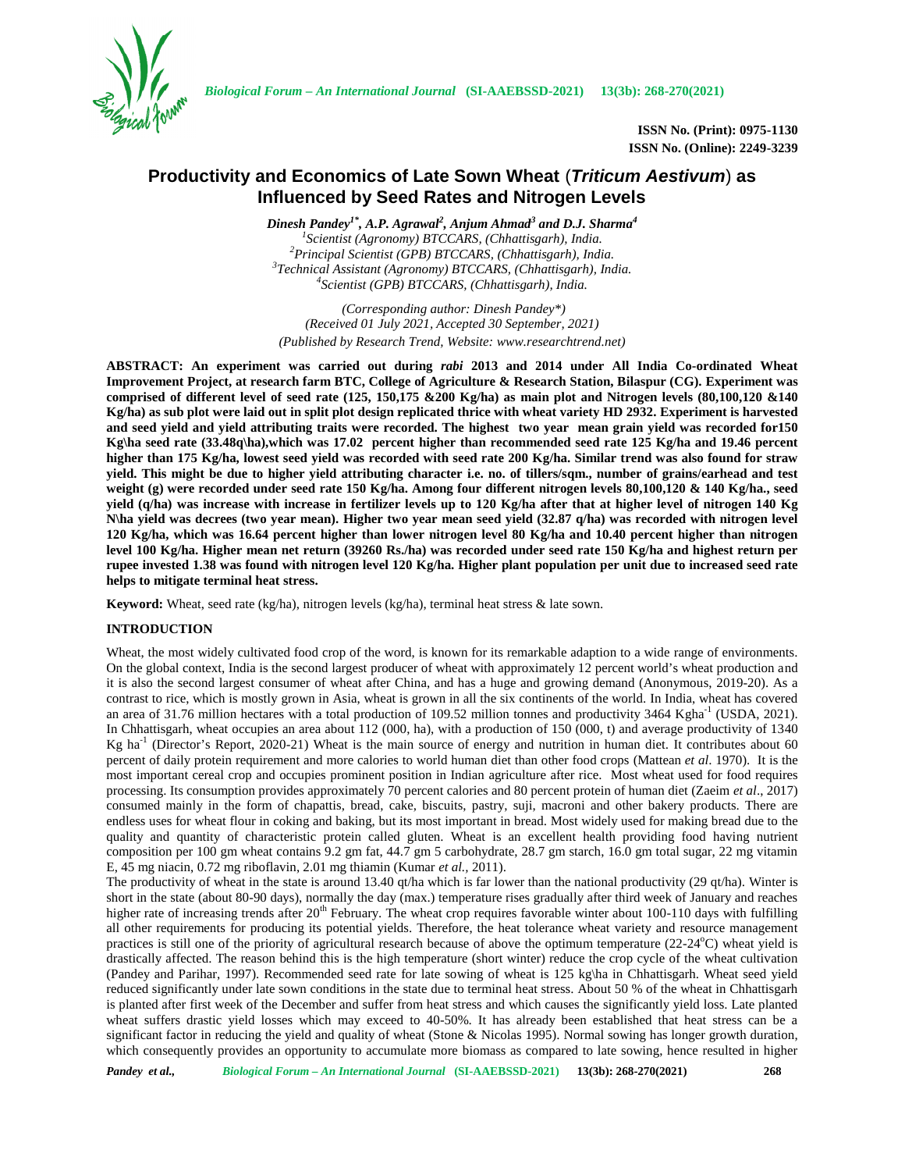

*Biological Forum – An International Journal* **(SI-AAEBSSD-2021) 13(3b): 268-270(2021)**

**ISSN No. (Print): 0975-1130 ISSN No. (Online): 2249-3239**

# **Productivity and Economics of Late Sown Wheat** (*Triticum Aestivum*) **as Influenced by Seed Rates and Nitrogen Levels**

*Dinesh Pandey1\* , A.P. Agrawal<sup>2</sup> , Anjum Ahmad<sup>3</sup> and D.J. Sharma<sup>4</sup>*  ${}^{1}$ Scientist (Agronomy) BTCCARS, (Chhattisgarh), India.<br> ${}^{2}$ Principal Scientist (GPB) BTCCARS, (Chhattisgarh), India.<br> ${}^{3}$ Technical Assistant (Agronomy) BTCCARS, (Chhattisgarh), India.<br> ${}^{4}$ Scientist (GPB) BTCCARS

*(Corresponding author: Dinesh Pandey\*) (Received 01 July 2021, Accepted 30 September, 2021) (Published by Research Trend, Website: <www.researchtrend.net>)*

**ABSTRACT: An experiment was carried out during** *rabi* **2013 and 2014 under All India Co-ordinated Wheat Improvement Project, at research farm BTC, College of Agriculture & Research Station, Bilaspur (CG). Experiment was comprised of different level of seed rate (125, 150,175 &200 Kg/ha) as main plot and Nitrogen levels (80,100,120 &140 Kg/ha) as sub plot were laid out in split plot design replicated thrice with wheat variety HD 2932. Experiment is harvested and seed yield and yield attributing traits were recorded. The highest two year mean grain yield was recorded for150 Kg\ha seed rate (33.48q\ha),which was 17.02 percent higher than recommended seed rate 125 Kg/ha and 19.46 percent higher than 175 Kg/ha, lowest seed yield was recorded with seed rate 200 Kg/ha. Similar trend was also found for straw yield. This might be due to higher yield attributing character i.e. no. of tillers/sqm., number of grains/earhead and test weight (g) were recorded under seed rate 150 Kg/ha. Among four different nitrogen levels 80,100,120 & 140 Kg/ha., seed yield (q/ha) was increase with increase in fertilizer levels up to 120 Kg/ha after that at higher level of nitrogen 140 Kg N\ha yield was decrees (two year mean). Higher two year mean seed yield (32.87 q/ha) was recorded with nitrogen level 120 Kg/ha, which was 16.64 percent higher than lower nitrogen level 80 Kg/ha and 10.40 percent higher than nitrogen level 100 Kg/ha. Higher mean net return (39260 Rs./ha) was recorded under seed rate 150 Kg/ha and highest return per rupee invested 1.38 was found with nitrogen level 120 Kg/ha. Higher plant population per unit due to increased seed rate helps to mitigate terminal heat stress.**

**Keyword:** Wheat, seed rate (kg/ha), nitrogen levels (kg/ha), terminal heat stress & late sown.

### **INTRODUCTION**

Wheat, the most widely cultivated food crop of the word, is known for its remarkable adaption to a wide range of environments. On the global context, India is the second largest producer of wheat with approximately 12 percent world's wheat production and it is also the second largest consumer of wheat after China, and has a huge and growing demand (Anonymous, 2019-20). As a contrast to rice, which is mostly grown in Asia, wheat is grown in all the six continents of the world. In India, wheat has covered an area of 31.76 million hectares with a total production of 109.52 million tonnes and productivity 3464 Kgha $^{-1}$  (USDA, 2021). In Chhattisgarh, wheat occupies an area about 112 (000, ha), with a production of 150 (000, t) and average productivity of 1340 Kg ha<sup>-1</sup> (Director's Report, 2020-21) Wheat is the main source of energy and nutrition in human diet. It contributes about 60 percent of daily protein requirement and more calories to world human diet than other food crops (Mattean *et al*. 1970). It is the most important cereal crop and occupies prominent position in Indian agriculture after rice. Most wheat used for food requires processing. Its consumption provides approximately 70 percent calories and 80 percent protein of human diet (Zaeim *et al*., 2017) consumed mainly in the form of chapattis, bread, cake, biscuits, pastry, suji, macroni and other bakery products. There are endless uses for wheat flour in coking and baking, but its most important in bread. Most widely used for making bread due to the quality and quantity of characteristic protein called gluten. Wheat is an excellent health providing food having nutrient composition per 100 gm wheat contains 9.2 gm fat, 44.7 gm 5 carbohydrate, 28.7 gm starch, 16.0 gm total sugar, 22 mg vitamin E, 45 mg niacin, 0.72 mg riboflavin, 2.01 mg thiamin (Kumar *et al.,* 2011).

The productivity of wheat in the state is around 13.40 qt/ha which is far lower than the national productivity (29 qt/ha). Winter is short in the state (about 80-90 days), normally the day (max.) temperature rises gradually after third week of January and reaches higher rate of increasing trends after  $20<sup>th</sup>$  February. The wheat crop requires favorable winter about 100-110 days with fulfilling all other requirements for producing its potential yields. Therefore, the heat tolerance wheat variety and resource management practices is still one of the priority of agricultural research because of above the optimum temperature (22-24<sup>o</sup>C) wheat yield is drastically affected. The reason behind this is the high temperature (short winter) reduce the crop cycle of the wheat cultivation (Pandey and Parihar, 1997). Recommended seed rate for late sowing of wheat is 125 kg\ha in Chhattisgarh. Wheat seed yield reduced significantly under late sown conditions in the state due to terminal heat stress. About 50 % of the wheat in Chhattisgarh is planted after first week of the December and suffer from heat stress and which causes the significantly yield loss. Late planted wheat suffers drastic yield losses which may exceed to 40-50%. It has already been established that heat stress can be a significant factor in reducing the yield and quality of wheat (Stone & Nicolas 1995). Normal sowing has longer growth duration, which consequently provides an opportunity to accumulate more biomass as compared to late sowing, hence resulted in higher

*Pandey et al., Biological Forum – An International Journal* **(SI-AAEBSSD-2021) 13(3b): 268-270(2021) 268**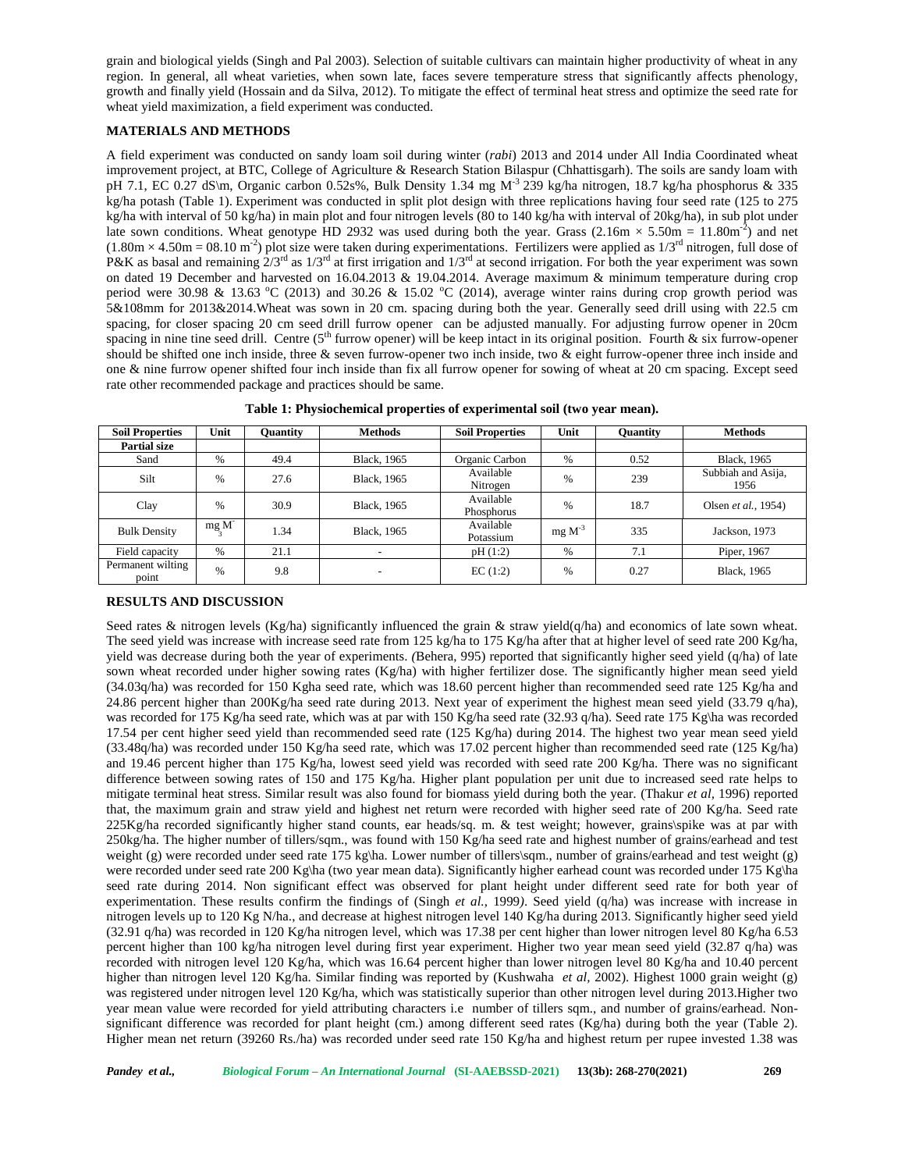grain and biological yields (Singh and Pal 2003). Selection of suitable cultivars can maintain higher productivity of wheat in any region. In general, all wheat varieties, when sown late, faces severe temperature stress that significantly affects phenology, growth and finally yield (Hossain and da Silva, 2012). To mitigate the effect of terminal heat stress and optimize the seed rate for wheat yield maximization, a field experiment was conducted.

## **MATERIALS AND METHODS**

A field experiment was conducted on sandy loam soil during winter (*rabi*) 2013 and 2014 under All India Coordinated wheat improvement project, at BTC, College of Agriculture & Research Station Bilaspur (Chhattisgarh). The soils are sandy loam with pH 7.1, EC 0.27 dS\m, Organic carbon 0.52s%, Bulk Density 1.34 mg M-3 239 kg/ha nitrogen, 18.7 kg/ha phosphorus & 335 kg/ha potash (Table 1). Experiment was conducted in split plot design with three replications having four seed rate (125 to 275 kg/ha with interval of 50 kg/ha) in main plot and four nitrogen levels (80 to 140 kg/ha with interval of 20kg/ha), in sub plot under late sown conditions. Wheat genotype HD 2932 was used during both the year. Grass (2.16m  $\times$  5.50m = 11.80m<sup>-2</sup>) and net  $(1.80 \text{m} \times 4.50 \text{m} = 08.10 \text{ m}^2)$  plot size were taken during experimentations. Fertilizers were applied as  $1/3^{\text{rd}}$  nitrogen, full dose of P&K as basal and remaining  $2/3<sup>rd</sup>$  as  $1/3<sup>rd</sup>$  at first irrigation and  $1/3<sup>rd</sup>$  at second irrigation. For both the year experiment was sown on dated 19 December and harvested on 16.04.2013 & 19.04.2014. Average maximum & minimum temperature during crop period were 30.98 & 13.63 °C (2013) and 30.26 & 15.02 °C (2014), average winter rains during crop growth period was 5&108mm for 2013&2014.Wheat was sown in 20 cm. spacing during both the year. Generally seed drill using with 22.5 cm spacing, for closer spacing 20 cm seed drill furrow opener can be adjusted manually. For adjusting furrow opener in 20cm spacing in nine tine seed drill. Centre  $(5<sup>th</sup>$  furrow opener) will be keep intact in its original position. Fourth & six furrow-opener should be shifted one inch inside, three & seven furrow-opener two inch inside, two & eight furrow-opener three inch inside and one & nine furrow opener shifted four inch inside than fix all furrow opener for sowing of wheat at 20 cm spacing. Except seed rate other recommended package and practices should be same.

| <b>Soil Properties</b>     | Unit          | <b>Ouantity</b> | <b>Methods</b>           | <b>Soil Properties</b>  | Unit        | <b>Ouantity</b> | <b>Methods</b>              |  |
|----------------------------|---------------|-----------------|--------------------------|-------------------------|-------------|-----------------|-----------------------------|--|
| <b>Partial size</b>        |               |                 |                          |                         |             |                 |                             |  |
| Sand                       | %             | 49.4            | Black, 1965              | Organic Carbon          | $\%$        | 0.52            | Black, 1965                 |  |
| Silt                       | $\frac{0}{6}$ | 27.6            | <b>Black</b> , 1965      | Available<br>Nitrogen   | $\%$        | 239             | Subbiah and Asija,<br>1956  |  |
| Clay                       | $\frac{0}{6}$ | 30.9            | <b>Black</b> , 1965      | Available<br>Phosphorus | $\%$        | 18.7            | Olsen <i>et al.</i> , 1954) |  |
| <b>Bulk Density</b>        | $mg_{2}M$     | 1.34            | Black, 1965              | Available<br>Potassium  | $mg M^{-3}$ | 335             | Jackson, 1973               |  |
| Field capacity             | %             | 21.1            |                          | pH(1:2)                 | $\%$        | 7.1             | Piper, 1967                 |  |
| Permanent wilting<br>point | $\%$          | 9.8             | $\overline{\phantom{0}}$ | EC(1:2)                 | $\%$        | 0.27            | Black, 1965                 |  |

**Table 1: Physiochemical properties of experimental soil (two year mean).**

## **RESULTS AND DISCUSSION**

Seed rates & nitrogen levels (Kg/ha) significantly influenced the grain & straw yield(q/ha) and economics of late sown wheat. The seed yield was increase with increase seed rate from 125 kg/ha to 175 Kg/ha after that at higher level of seed rate 200 Kg/ha, yield was decrease during both the year of experiments. *(*Behera, 995) reported that significantly higher seed yield (q/ha) of late sown wheat recorded under higher sowing rates (Kg/ha) with higher fertilizer dose. The significantly higher mean seed yield (34.03q/ha) was recorded for 150 Kgha seed rate, which was 18.60 percent higher than recommended seed rate 125 Kg/ha and 24.86 percent higher than  $200Kg/ha$  seed rate during 2013. Next year of experiment the highest mean seed yield (33.79 q/ha), was recorded for 175 Kg/ha seed rate, which was at par with 150 Kg/ha seed rate (32.93 q/ha). Seed rate 175 Kg/ha was recorded 17.54 per cent higher seed yield than recommended seed rate (125 Kg/ha) during 2014. The highest two year mean seed yield (33.48q/ha) was recorded under 150 Kg/ha seed rate, which was 17.02 percent higher than recommended seed rate (125 Kg/ha) and 19.46 percent higher than 175 Kg/ha, lowest seed yield was recorded with seed rate 200 Kg/ha. There was no significant difference between sowing rates of 150 and 175 Kg/ha. Higher plant population per unit due to increased seed rate helps to mitigate terminal heat stress. Similar result was also found for biomass yield during both the year*.* (Thakur *et al,* 1996) reported that, the maximum grain and straw yield and highest net return were recorded with higher seed rate of 200 Kg/ha. Seed rate 225Kg/ha recorded significantly higher stand counts, ear heads/sq. m. & test weight; however, grains\spike was at par with 250kg/ha. The higher number of tillers/sqm., was found with 150 Kg/ha seed rate and highest number of grains/earhead and test weight (g) were recorded under seed rate 175 kg\ha. Lower number of tillers\sqm., number of grains/earhead and test weight (g) were recorded under seed rate 200 Kg\ha (two year mean data). Significantly higher earhead count was recorded under 175 Kg\ha seed rate during 2014. Non significant effect was observed for plant height under different seed rate for both year of experimentation. These results confirm the findings of (Singh *et al.,* 1999*)*. Seed yield (q/ha) was increase with increase in nitrogen levels up to 120 Kg N/ha., and decrease at highest nitrogen level 140 Kg/ha during 2013. Significantly higher seed yield (32.91 q/ha) was recorded in 120 Kg/ha nitrogen level, which was 17.38 per cent higher than lower nitrogen level 80 Kg/ha 6.53 percent higher than 100 kg/ha nitrogen level during first year experiment. Higher two year mean seed yield (32.87 q/ha) was recorded with nitrogen level 120 Kg/ha, which was 16.64 percent higher than lower nitrogen level 80 Kg/ha and 10.40 percent higher than nitrogen level 120 Kg/ha. Similar finding was reported by (Kushwaha *et al,* 2002). Highest 1000 grain weight (g) was registered under nitrogen level 120 Kg/ha, which was statistically superior than other nitrogen level during 2013.Higher two year mean value were recorded for yield attributing characters i.e number of tillers sqm., and number of grains/earhead. Non significant difference was recorded for plant height (cm.) among different seed rates (Kg/ha) during both the year (Table 2).<br>Higher mean net return (39260 Rs./ha) was recorded under seed rate 150 Kg/ha and highest return